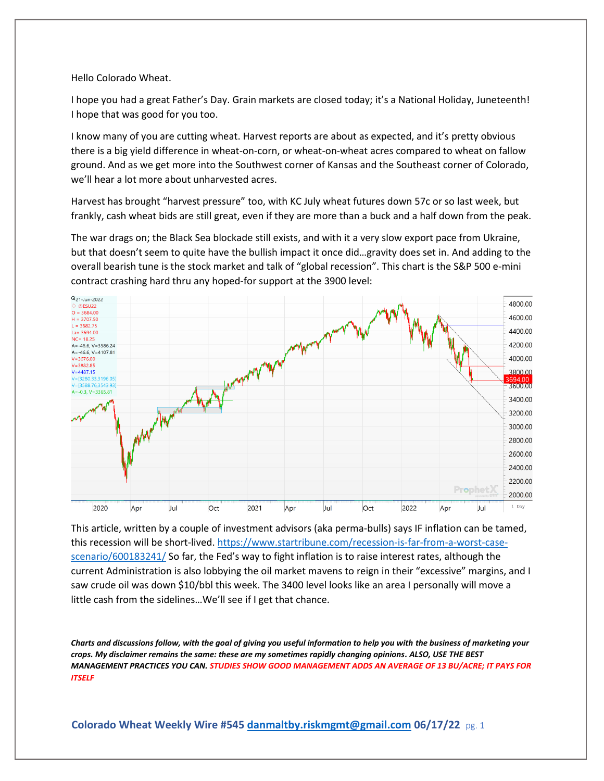## Hello Colorado Wheat.

I hope you had a great Father's Day. Grain markets are closed today; it's a National Holiday, Juneteenth! I hope that was good for you too.

I know many of you are cutting wheat. Harvest reports are about as expected, and it's pretty obvious there is a big yield difference in wheat-on-corn, or wheat-on-wheat acres compared to wheat on fallow ground. And as we get more into the Southwest corner of Kansas and the Southeast corner of Colorado, we'll hear a lot more about unharvested acres.

Harvest has brought "harvest pressure" too, with KC July wheat futures down 57c or so last week, but frankly, cash wheat bids are still great, even if they are more than a buck and a half down from the peak.

The war drags on; the Black Sea blockade still exists, and with it a very slow export pace from Ukraine, but that doesn't seem to quite have the bullish impact it once did…gravity does set in. And adding to the overall bearish tune is the stock market and talk of "global recession". This chart is the S&P 500 e-mini contract crashing hard thru any hoped-for support at the 3900 level:



This article, written by a couple of investment advisors (aka perma-bulls) says IF inflation can be tamed, this recession will be short-lived[. https://www.startribune.com/recession-is-far-from-a-worst-case](https://www.startribune.com/recession-is-far-from-a-worst-case-scenario/600183241/)[scenario/600183241/](https://www.startribune.com/recession-is-far-from-a-worst-case-scenario/600183241/) So far, the Fed's way to fight inflation is to raise interest rates, although the current Administration is also lobbying the oil market mavens to reign in their "excessive" margins, and I saw crude oil was down \$10/bbl this week. The 3400 level looks like an area I personally will move a little cash from the sidelines…We'll see if I get that chance.

*Charts and discussions follow, with the goal of giving you useful information to help you with the business of marketing your crops. My disclaimer remains the same: these are my sometimes rapidly changing opinions. ALSO, USE THE BEST MANAGEMENT PRACTICES YOU CAN. STUDIES SHOW GOOD MANAGEMENT ADDS AN AVERAGE OF 13 BU/ACRE; IT PAYS FOR ITSELF*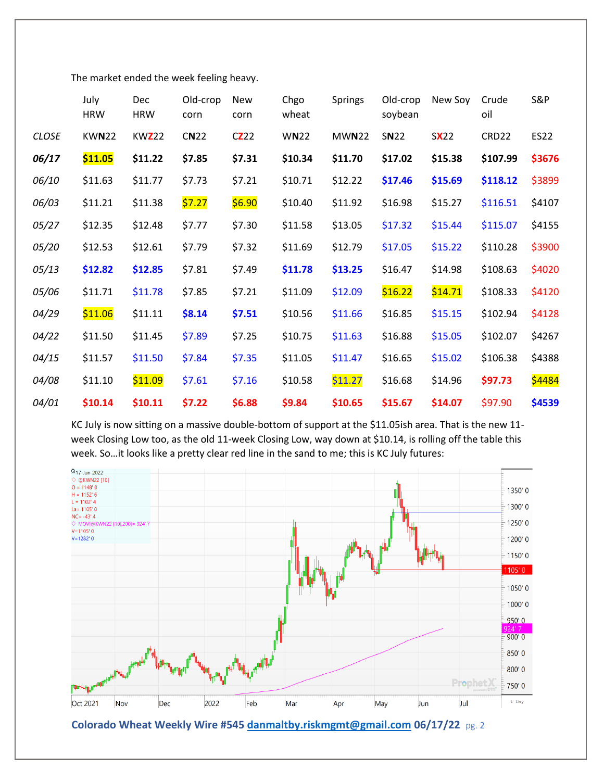The market ended the week feeling heavy.

|              | July<br><b>HRW</b> | Dec<br>HRW   | Old-crop<br>corn | <b>New</b><br>corn | Chgo<br>wheat | <b>Springs</b> | Old-crop<br>soybean | New Soy | Crude<br>oil | <b>S&amp;P</b> |
|--------------|--------------------|--------------|------------------|--------------------|---------------|----------------|---------------------|---------|--------------|----------------|
| <b>CLOSE</b> | <b>KWN22</b>       | <b>KWZ22</b> | <b>CN22</b>      | CZ22               | <b>WN22</b>   | <b>MWN22</b>   | <b>SN22</b>         | SX22    | CRD22        | <b>ES22</b>    |
| 06/17        | \$11.05            | \$11.22      | \$7.85           | \$7.31             | \$10.34       | \$11.70        | \$17.02             | \$15.38 | \$107.99     | \$3676         |
| 06/10        | \$11.63            | \$11.77      | \$7.73           | \$7.21             | \$10.71       | \$12.22        | \$17.46             | \$15.69 | \$118.12     | \$3899         |
| 06/03        | \$11.21            | \$11.38      | \$7.27           | \$6.90             | \$10.40       | \$11.92        | \$16.98             | \$15.27 | \$116.51     | \$4107         |
| 05/27        | \$12.35            | \$12.48      | \$7.77           | \$7.30             | \$11.58       | \$13.05        | \$17.32             | \$15.44 | \$115.07     | \$4155         |
| 05/20        | \$12.53            | \$12.61      | \$7.79           | \$7.32             | \$11.69       | \$12.79        | \$17.05             | \$15.22 | \$110.28     | \$3900         |
| 05/13        | \$12.82            | \$12.85      | \$7.81           | \$7.49             | \$11.78       | \$13.25        | \$16.47             | \$14.98 | \$108.63     | \$4020         |
| 05/06        | \$11.71            | \$11.78      | \$7.85           | \$7.21             | \$11.09       | \$12.09        | \$16.22             | \$14.71 | \$108.33     | \$4120         |
| 04/29        | \$11.06            | \$11.11      | \$8.14           | \$7.51             | \$10.56       | \$11.66        | \$16.85             | \$15.15 | \$102.94     | \$4128         |
| 04/22        | \$11.50            | \$11.45      | \$7.89           | \$7.25             | \$10.75       | \$11.63        | \$16.88             | \$15.05 | \$102.07     | \$4267         |
| 04/15        | \$11.57            | \$11.50      | \$7.84           | \$7.35             | \$11.05       | \$11.47        | \$16.65             | \$15.02 | \$106.38     | \$4388         |
| 04/08        | \$11.10            | \$11.09      | \$7.61           | \$7.16             | \$10.58       | \$11.27        | \$16.68             | \$14.96 | \$97.73      | \$4484         |
| 04/01        | \$10.14            | \$10.11      | \$7.22           | \$6.88             | \$9.84        | \$10.65        | \$15.67             | \$14.07 | \$97.90      | \$4539         |

KC July is now sitting on a massive double-bottom of support at the \$11.05ish area. That is the new 11 week Closing Low too, as the old 11-week Closing Low, way down at \$10.14, is rolling off the table this week. So…it looks like a pretty clear red line in the sand to me; this is KC July futures:

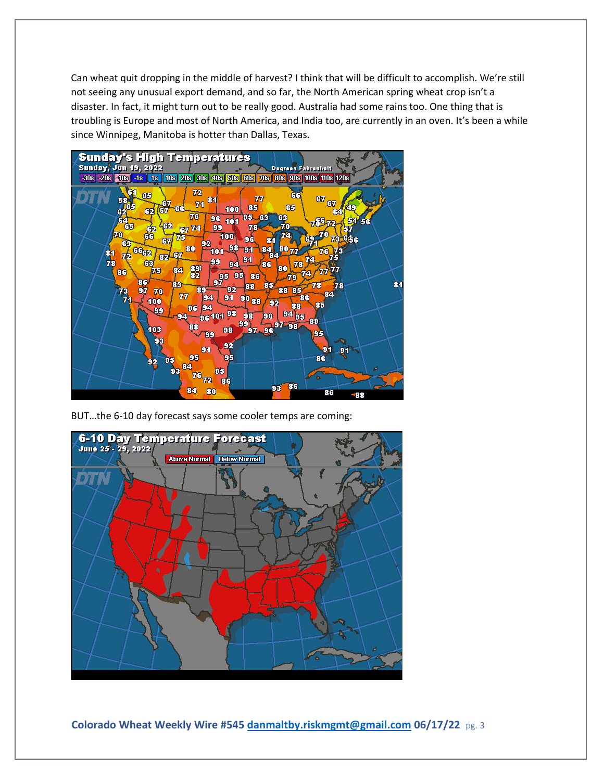Can wheat quit dropping in the middle of harvest? I think that will be difficult to accomplish. We're still not seeing any unusual export demand, and so far, the North American spring wheat crop isn't a disaster. In fact, it might turn out to be really good. Australia had some rains too. One thing that is troubling is Europe and most of North America, and India too, are currently in an oven. It's been a while since Winnipeg, Manitoba is hotter than Dallas, Texas.



BUT…the 6-10 day forecast says some cooler temps are coming:

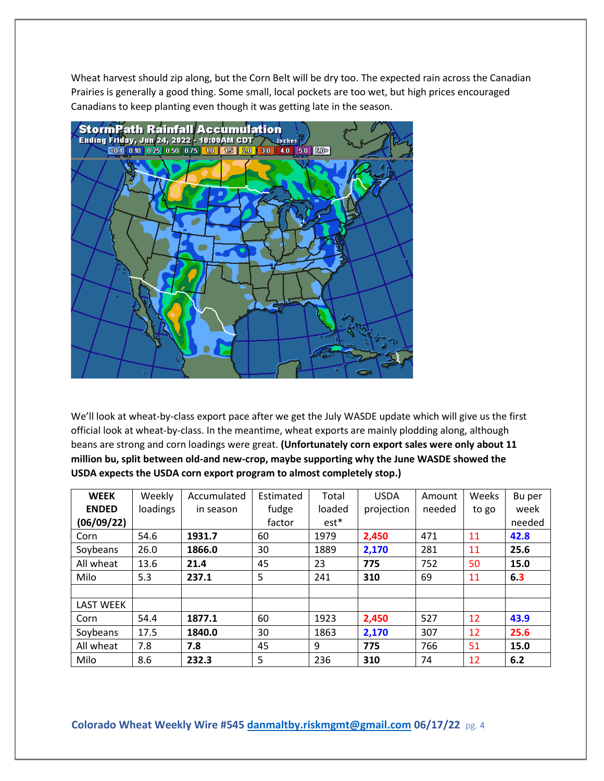Wheat harvest should zip along, but the Corn Belt will be dry too. The expected rain across the Canadian Prairies is generally a good thing. Some small, local pockets are too wet, but high prices encouraged Canadians to keep planting even though it was getting late in the season.



We'll look at wheat-by-class export pace after we get the July WASDE update which will give us the first official look at wheat-by-class. In the meantime, wheat exports are mainly plodding along, although beans are strong and corn loadings were great. **(Unfortunately corn export sales were only about 11 million bu, split between old-and new-crop, maybe supporting why the June WASDE showed the USDA expects the USDA corn export program to almost completely stop.)**

| <b>WEEK</b>      | Weekly   | Accumulated | Estimated | Total  | <b>USDA</b> | Amount | Weeks | Bu per |
|------------------|----------|-------------|-----------|--------|-------------|--------|-------|--------|
| <b>ENDED</b>     | loadings | in season   | fudge     | loaded | projection  | needed | to go | week   |
| (06/09/22)       |          |             | factor    | $est*$ |             |        |       | needed |
| Corn             | 54.6     | 1931.7      | 60        | 1979   | 2,450       | 471    | 11    | 42.8   |
| Soybeans         | 26.0     | 1866.0      | 30        | 1889   | 2,170       | 281    | 11    | 25.6   |
| All wheat        | 13.6     | 21.4        | 45        | 23     | 775         | 752    | 50    | 15.0   |
| Milo             | 5.3      | 237.1       | 5         | 241    | 310         | 69     | 11    | 6.3    |
|                  |          |             |           |        |             |        |       |        |
| <b>LAST WEEK</b> |          |             |           |        |             |        |       |        |
| Corn             | 54.4     | 1877.1      | 60        | 1923   | 2,450       | 527    | 12    | 43.9   |
| Soybeans         | 17.5     | 1840.0      | 30        | 1863   | 2,170       | 307    | 12    | 25.6   |
| All wheat        | 7.8      | 7.8         | 45        | 9      | 775         | 766    | 51    | 15.0   |
| Milo             | 8.6      | 232.3       | 5         | 236    | 310         | 74     | 12    | 6.2    |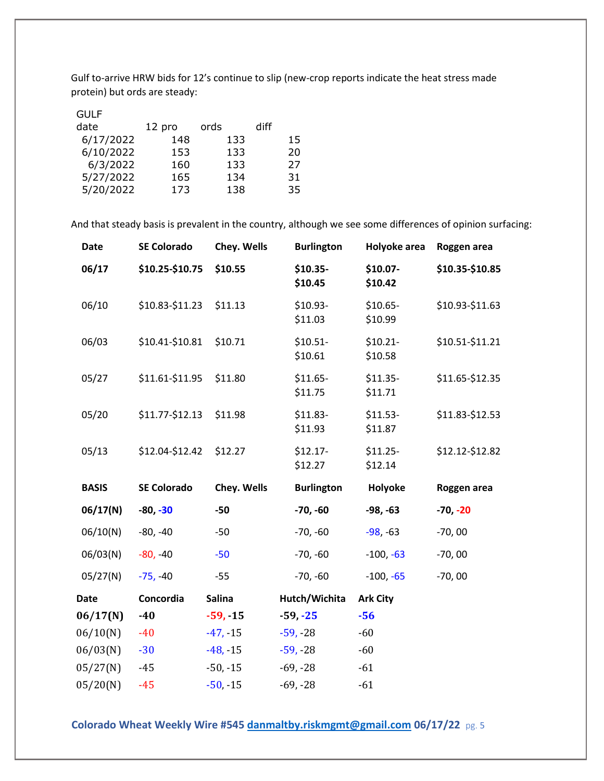Gulf to-arrive HRW bids for 12's continue to slip (new-crop reports indicate the heat stress made protein) but ords are steady:

| <b>GULF</b> |        |      |      |    |
|-------------|--------|------|------|----|
| date        | 12 pro | ords | diff |    |
| 6/17/2022   | 148    | 133  |      | 15 |
| 6/10/2022   | 153    | 133  |      | 20 |
| 6/3/2022    | 160    | 133  |      | 27 |
| 5/27/2022   | 165    | 134  |      | 31 |
| 5/20/2022   | 173    | 138  |      | 35 |

And that steady basis is prevalent in the country, although we see some differences of opinion surfacing:

| <b>Date</b>  | <b>SE Colorado</b> | Chey. Wells   | <b>Burlington</b>    | Holyoke area         | Roggen area     |
|--------------|--------------------|---------------|----------------------|----------------------|-----------------|
| 06/17        | \$10.25-\$10.75    | \$10.55       | \$10.35-<br>\$10.45  | \$10.07-<br>\$10.42  | \$10.35-\$10.85 |
| 06/10        | \$10.83-\$11.23    | \$11.13       | \$10.93-<br>\$11.03  | $$10.65-$<br>\$10.99 | \$10.93-\$11.63 |
| 06/03        | \$10.41-\$10.81    | \$10.71       | $$10.51-$<br>\$10.61 | $$10.21-$<br>\$10.58 | \$10.51-\$11.21 |
| 05/27        | \$11.61-\$11.95    | \$11.80       | $$11.65-$<br>\$11.75 | $$11.35-$<br>\$11.71 | \$11.65-\$12.35 |
| 05/20        | \$11.77-\$12.13    | \$11.98       | $$11.83-$<br>\$11.93 | $$11.53-$<br>\$11.87 | \$11.83-\$12.53 |
| 05/13        | \$12.04-\$12.42    | \$12.27       | $$12.17-$<br>\$12.27 | $$11.25-$<br>\$12.14 | \$12.12-\$12.82 |
| <b>BASIS</b> | <b>SE Colorado</b> | Chey. Wells   | <b>Burlington</b>    | Holyoke              | Roggen area     |
| 06/17(N)     | $-80, -30$         | $-50$         | $-70, -60$           | $-98, -63$           | $-70, -20$      |
| 06/10(N)     | $-80, -40$         | $-50$         |                      |                      |                 |
|              |                    |               | $-70, -60$           | $-98, -63$           | $-70,00$        |
| 06/03(N)     | $-80, -40$         | $-50$         | $-70, -60$           | $-100, -63$          | $-70,00$        |
| 05/27(N)     | $-75, -40$         | $-55$         | $-70, -60$           | $-100, -65$          | $-70,00$        |
| <b>Date</b>  | Concordia          | <b>Salina</b> | Hutch/Wichita        | <b>Ark City</b>      |                 |
| 06/17(N)     | $-40$              | $-59, -15$    | $-59, -25$           | $-56$                |                 |
| 06/10(N)     | $-40$              | $-47, -15$    | $-59, -28$           | $-60$                |                 |
| 06/03(N)     | $-30$              | $-48, -15$    | $-59, -28$           | $-60$                |                 |
| 05/27(N)     | $-45$              | $-50, -15$    | $-69, -28$           | $-61$                |                 |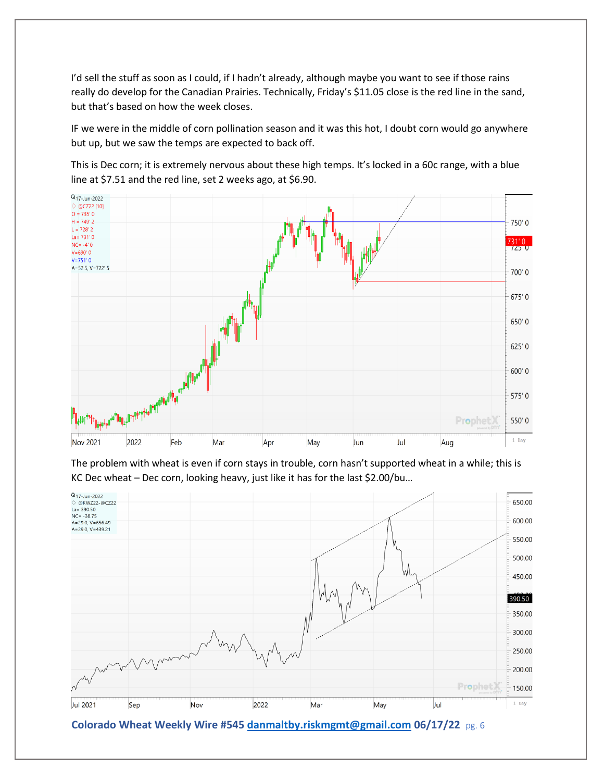I'd sell the stuff as soon as I could, if I hadn't already, although maybe you want to see if those rains really do develop for the Canadian Prairies. Technically, Friday's \$11.05 close is the red line in the sand, but that's based on how the week closes.

IF we were in the middle of corn pollination season and it was this hot, I doubt corn would go anywhere but up, but we saw the temps are expected to back off.

This is Dec corn; it is extremely nervous about these high temps. It's locked in a 60c range, with a blue line at \$7.51 and the red line, set 2 weeks ago, at \$6.90.



The problem with wheat is even if corn stays in trouble, corn hasn't supported wheat in a while; this is KC Dec wheat – Dec corn, looking heavy, just like it has for the last \$2.00/bu…